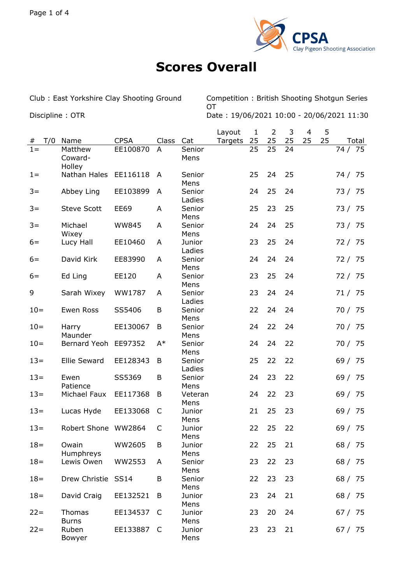

## **Scores Overall**

Club : East Yorkshire Clay Shooting Ground Competition : British Shooting Shotgun Series **OT** Discipline : OTR Date : 19/06/2021 10:00 - 20/06/2021 11:30

|          |                                 |              |       |                        | Layout  | 1  | 2  | 3  | 4  | 5  |           |
|----------|---------------------------------|--------------|-------|------------------------|---------|----|----|----|----|----|-----------|
| T/0<br># | Name                            | <b>CPSA</b>  | Class | Cat                    | Targets | 25 | 25 | 25 | 25 | 25 | Total     |
| $1 =$    | Matthew<br>Coward-<br>Holley    | EE100870     | A     | Senior<br>Mens         |         | 25 | 25 | 24 |    |    | 74 / 75   |
| $1 =$    | Nathan Hales EE116118           |              | A     | Senior<br>Mens         |         | 25 | 24 | 25 |    |    | 74 / 75   |
| $3 =$    | Abbey Ling                      | EE103899     | A     | Senior<br>Ladies       |         | 24 | 25 | 24 |    |    | 73 / 75   |
| $3 =$    | <b>Steve Scott</b>              | <b>EE69</b>  | A     | Senior<br>Mens         |         | 25 | 23 | 25 |    |    | 73 / 75   |
| $3 =$    | Michael<br>Wixey                | <b>WW845</b> | A     | Senior<br>Mens         |         | 24 | 24 | 25 |    |    | 73 / 75   |
| $6=$     | Lucy Hall                       | EE10460      | A     | Junior<br>Ladies       |         | 23 | 25 | 24 |    |    | 72 / 75   |
| $6=$     | David Kirk                      | EE83990      | A     | Senior<br>Mens         |         | 24 | 24 | 24 |    |    | 72 / 75   |
| $6=$     | Ed Ling                         | EE120        | A     | Senior                 |         | 23 | 25 | 24 |    |    | 72 / 75   |
| 9        | Sarah Wixey                     | WW1787       | A     | Mens<br>Senior         |         | 23 | 24 | 24 |    |    | 71 / 75   |
| $10=$    | Ewen Ross                       | SS5406       | B     | Ladies<br>Senior       |         | 22 | 24 | 24 |    |    | 70 / 75   |
| $10=$    | Harry                           | EE130067     | B     | Mens<br>Senior         |         | 24 | 22 | 24 |    |    | 70 / 75   |
| $10=$    | Maunder<br>Bernard Yeoh EE97352 |              | $A^*$ | Mens<br>Senior         |         | 24 | 24 | 22 |    |    | 70 / 75   |
| $13=$    | Ellie Seward                    | EE128343     | B     | Mens<br>Senior         |         | 25 | 22 | 22 |    |    | 69 / 75   |
| $13=$    | Ewen                            | SS5369       | B     | Ladies<br>Senior       |         | 24 | 23 | 22 |    |    | 69 / 75   |
| $13=$    | Patience<br>Michael Faux        | EE117368     | B     | Mens<br>Veteran        |         | 24 | 22 | 23 |    |    | 69 / 75   |
| $13 =$   | Lucas Hyde                      | EE133068     | C     | Mens<br>Junior         |         | 21 | 25 | 23 |    |    | 69 / 75   |
| $13 =$   | Robert Shone WW2864             |              | C     | Mens<br>Junior         |         | 22 | 25 | 22 |    |    | 69/<br>75 |
| $18 =$   | Owain                           | WW2605       | B     | Mens<br>Junior         |         | 22 | 25 | 21 |    |    | 68 / 75   |
| $18 =$   | Humphreys<br>Lewis Owen         | WW2553       | A     | Mens<br>Senior         |         | 23 | 22 | 23 |    |    | 68 / 75   |
| $18 =$   | Drew Christie SS14              |              | B     | Mens<br>Senior         |         | 22 | 23 | 23 |    |    | 68 / 75   |
| $18 =$   | David Craig                     | EE132521     | B     | Mens<br>Junior         |         | 23 | 24 | 21 |    |    | 68 / 75   |
| $22 =$   | Thomas                          | EE134537     | - C   | Mens<br>Junior         |         | 23 | 20 | 24 |    |    | 67 / 75   |
| $22 =$   | <b>Burns</b><br>Ruben<br>Bowyer | EE133887 C   |       | Mens<br>Junior<br>Mens |         | 23 | 23 | 21 |    |    | 67 / 75   |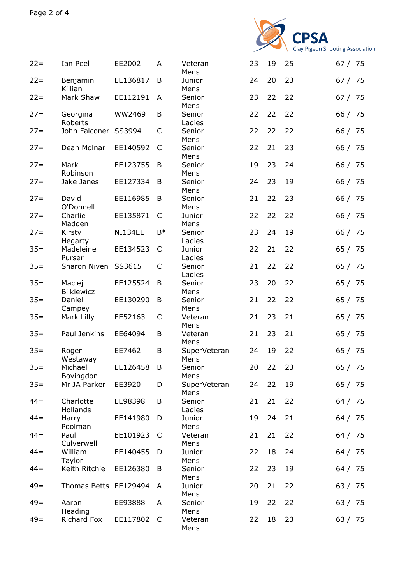

| $22 =$ | Ian Peel                    | EE2002         | A            | Veteran<br>Mens      | 23 | 19 | 25 | 67 / 75 |  |
|--------|-----------------------------|----------------|--------------|----------------------|----|----|----|---------|--|
| $22 =$ | Benjamin<br>Killian         | EE136817       | B            | Junior<br>Mens       | 24 | 20 | 23 | 67 / 75 |  |
| $22 =$ | Mark Shaw                   | EE112191       | A            | Senior<br>Mens       | 23 | 22 | 22 | 67 / 75 |  |
| $27 =$ | Georgina<br>Roberts         | WW2469         | B            | Senior<br>Ladies     | 22 | 22 | 22 | 66 / 75 |  |
| $27 =$ | John Falconer SS3994        |                | C            | Senior<br>Mens       | 22 | 22 | 22 | 66 / 75 |  |
| $27 =$ | Dean Molnar                 | EE140592       | C            | Senior<br>Mens       | 22 | 21 | 23 | 66 / 75 |  |
| $27 =$ | Mark<br>Robinson            | EE123755       | B            | Senior<br>Mens       | 19 | 23 | 24 | 66 / 75 |  |
| $27 =$ | Jake Janes                  | EE127334       | B            | Senior<br>Mens       | 24 | 23 | 19 | 66 / 75 |  |
| $27 =$ | David<br>O'Donnell          | EE116985       | B            | Senior<br>Mens       | 21 | 22 | 23 | 66 / 75 |  |
| $27 =$ | Charlie<br>Madden           | EE135871       | C            | Junior<br>Mens       | 22 | 22 | 22 | 66 / 75 |  |
| $27 =$ | Kirsty<br>Hegarty           | <b>NI134EE</b> | $B*$         | Senior<br>Ladies     | 23 | 24 | 19 | 66 / 75 |  |
| $35=$  | Madeleine<br>Purser         | EE134523       | C            | Junior<br>Ladies     | 22 | 21 | 22 | 65 / 75 |  |
| $35 =$ | Sharon Niven                | SS3615         | C            | Senior<br>Ladies     | 21 | 22 | 22 | 65 / 75 |  |
| $35 =$ | Maciej<br><b>Bilkiewicz</b> | EE125524       | B            | Senior<br>Mens       | 23 | 20 | 22 | 65 / 75 |  |
| $35 =$ | Daniel<br>Campey            | EE130290       | B            | Senior<br>Mens       | 21 | 22 | 22 | 65 / 75 |  |
| $35 =$ | Mark Lilly                  | EE52163        | C            | Veteran<br>Mens      | 21 | 23 | 21 | 65 / 75 |  |
| $35 =$ | Paul Jenkins                | EE64094        | B            | Veteran<br>Mens      | 21 | 23 | 21 | 65 / 75 |  |
| $35 =$ | Roger<br>Westaway           | EE7462         | B            | SuperVeteran<br>Mens | 24 | 19 | 22 | 65 / 75 |  |
| $35 =$ | Michael<br>Bovingdon        | EE126458       | B            | Senior<br>Mens       | 20 | 22 | 23 | 65 / 75 |  |
| $35 =$ | Mr JA Parker                | EE3920         | D            | SuperVeteran<br>Mens | 24 | 22 | 19 | 65 / 75 |  |
| $44 =$ | Charlotte<br>Hollands       | EE98398        | B            | Senior<br>Ladies     | 21 | 21 | 22 | 64 / 75 |  |
| $44 =$ | Harry<br>Poolman            | EE141980       | D            | Junior<br>Mens       | 19 | 24 | 21 | 64 / 75 |  |
| $44 =$ | Paul<br>Culverwell          | EE101923       | C            | Veteran<br>Mens      | 21 | 21 | 22 | 64 / 75 |  |
| $44 =$ | William<br>Taylor           | EE140455       | D            | Junior<br>Mens       | 22 | 18 | 24 | 64 / 75 |  |
| $44 =$ | Keith Ritchie               | EE126380       | B            | Senior<br>Mens       | 22 | 23 | 19 | 64 / 75 |  |
| $49=$  | Thomas Betts EE129494       |                | A            | Junior<br>Mens       | 20 | 21 | 22 | 63 / 75 |  |
| $49=$  | Aaron<br>Heading            | EE93888        | A            | Senior<br>Mens       | 19 | 22 | 22 | 63 / 75 |  |
| $49=$  | Richard Fox                 | EE117802       | <sub>C</sub> | Veteran<br>Mens      | 22 | 18 | 23 | 63 / 75 |  |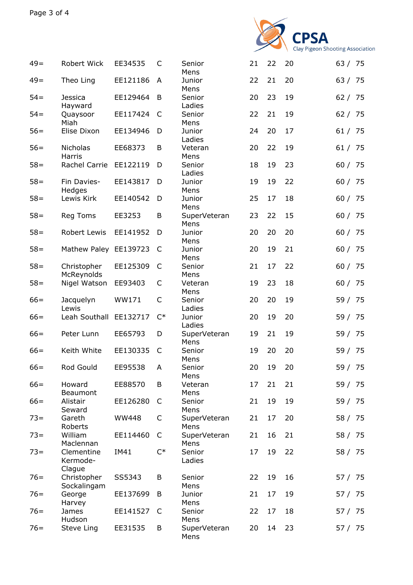

| $49=$  | Robert Wick                      | EE34535      | C            | Senior<br>Mens       | 21 | 22 | 20 | 63 / 75 |
|--------|----------------------------------|--------------|--------------|----------------------|----|----|----|---------|
| $49=$  | Theo Ling                        | EE121186     | A            | Junior<br>Mens       | 22 | 21 | 20 | 63 / 75 |
| $54 =$ | <b>Jessica</b><br>Hayward        | EE129464     | B            | Senior<br>Ladies     | 20 | 23 | 19 | 62 / 75 |
| $54 =$ | Quaysoor<br>Miah                 | EE117424     | $\mathsf{C}$ | Senior<br>Mens       | 22 | 21 | 19 | 62 / 75 |
| $56=$  | Elise Dixon                      | EE134946     | D            | Junior<br>Ladies     | 24 | 20 | 17 | 61 / 75 |
| $56=$  | Nicholas<br>Harris               | EE68373      | B            | Veteran<br>Mens      | 20 | 22 | 19 | 61 / 75 |
| $58 =$ | Rachel Carrie                    | EE122119     | D            | Senior<br>Ladies     | 18 | 19 | 23 | 60 / 75 |
| $58 =$ | Fin Davies-<br>Hedges            | EE143817     | D            | Junior<br>Mens       | 19 | 19 | 22 | 60 / 75 |
| $58 =$ | Lewis Kirk                       | EE140542     | D            | Junior<br>Mens       | 25 | 17 | 18 | 60 / 75 |
| $58 =$ | Reg Toms                         | EE3253       | B            | SuperVeteran<br>Mens | 23 | 22 | 15 | 60 / 75 |
| $58 =$ | Robert Lewis                     | EE141952     | D            | Junior<br>Mens       | 20 | 20 | 20 | 60 / 75 |
| $58 =$ | Mathew Paley EE139723            |              | C            | Junior<br>Mens       | 20 | 19 | 21 | 60 / 75 |
| $58 =$ | Christopher<br>McReynolds        | EE125309     | C            | Senior<br>Mens       | 21 | 17 | 22 | 60 / 75 |
| $58 =$ | Nigel Watson                     | EE93403      | C            | Veteran<br>Mens      | 19 | 23 | 18 | 60 / 75 |
| $66=$  | Jacquelyn<br>Lewis               | WW171        | $\mathsf C$  | Senior<br>Ladies     | 20 | 20 | 19 | 59 / 75 |
| $66=$  | Leah Southall                    | EE132717     | $C^*$        | Junior<br>Ladies     | 20 | 19 | 20 | 59 / 75 |
| $66=$  | Peter Lunn                       | EE65793      | D            | SuperVeteran<br>Mens | 19 | 21 | 19 | 59 / 75 |
| $66=$  | Keith White                      | EE130335     | C            | Senior<br>Mens       | 19 | 20 | 20 | 59 / 75 |
| $66=$  | Rod Gould                        | EE95538      | Α            | Senior<br>Mens       | 20 | 19 | 20 | 59 / 75 |
| $66=$  | Howard<br>Beaumont               | EE88570      | B            | Veteran<br>Mens      | 17 | 21 | 21 | 59 / 75 |
| $66=$  | Alistair<br>Seward               | EE126280     | C            | Senior<br>Mens       | 21 | 19 | 19 | 59 / 75 |
| $73 =$ | Gareth<br>Roberts                | <b>WW448</b> | C            | SuperVeteran<br>Mens | 21 | 17 | 20 | 58 / 75 |
| $73 =$ | William<br>Maclennan             | EE114460     | C            | SuperVeteran<br>Mens | 21 | 16 | 21 | 58 / 75 |
| $73 =$ | Clementine<br>Kermode-<br>Clague | IM41         | $C^*$        | Senior<br>Ladies     | 17 | 19 | 22 | 58 / 75 |
| $76=$  | Christopher<br>Sockalingam       | SS5343       | B            | Senior<br>Mens       | 22 | 19 | 16 | 57 / 75 |
| $76=$  | George<br>Harvey                 | EE137699     | B            | Junior<br>Mens       | 21 | 17 | 19 | 57 / 75 |
| $76=$  | James<br>Hudson                  | EE141527     | C            | Senior<br>Mens       | 22 | 17 | 18 | 57 / 75 |
| $76=$  | Steve Ling                       | EE31535      | B            | SuperVeteran<br>Mens | 20 | 14 | 23 | 57 / 75 |